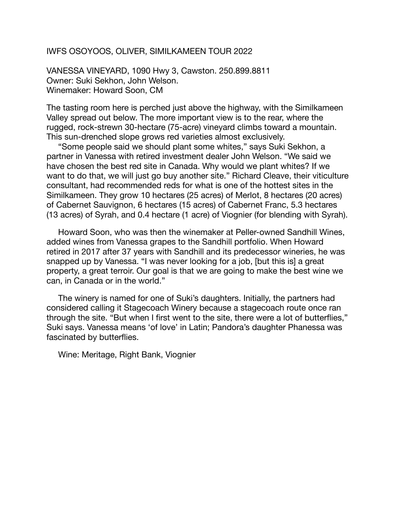## IWFS OSOYOOS, OLIVER, SIMILKAMEEN TOUR 2022

VANESSA VINEYARD, 1090 Hwy 3, Cawston. 250.899.8811 Owner: Suki Sekhon, John Welson. Winemaker: Howard Soon, CM

The tasting room here is perched just above the highway, with the Similkameen Valley spread out below. The more important view is to the rear, where the rugged, rock-strewn 30-hectare (75-acre) vineyard climbs toward a mountain. This sun-drenched slope grows red varieties almost exclusively.

"Some people said we should plant some whites," says Suki Sekhon, a partner in Vanessa with retired investment dealer John Welson. "We said we have chosen the best red site in Canada. Why would we plant whites? If we want to do that, we will just go buy another site." Richard Cleave, their viticulture consultant, had recommended reds for what is one of the hottest sites in the Similkameen. They grow 10 hectares (25 acres) of Merlot, 8 hectares (20 acres) of Cabernet Sauvignon, 6 hectares (15 acres) of Cabernet Franc, 5.3 hectares (13 acres) of Syrah, and 0.4 hectare (1 acre) of Viognier (for blending with Syrah).

Howard Soon, who was then the winemaker at Peller-owned Sandhill Wines, added wines from Vanessa grapes to the Sandhill portfolio. When Howard retired in 2017 after 37 years with Sandhill and its predecessor wineries, he was snapped up by Vanessa. "I was never looking for a job, [but this is] a great property, a great terroir. Our goal is that we are going to make the best wine we can, in Canada or in the world."

The winery is named for one of Suki's daughters. Initially, the partners had considered calling it Stagecoach Winery because a stagecoach route once ran through the site. "But when I first went to the site, there were a lot of butterflies," Suki says. Vanessa means 'of love' in Latin; Pandora's daughter Phanessa was fascinated by butterflies.

Wine: Meritage, Right Bank, Viognier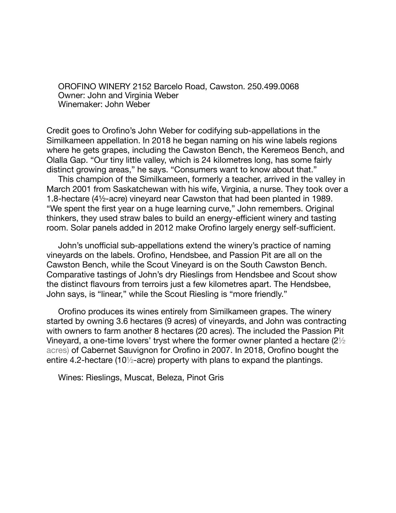OROFINO WINERY 2152 Barcelo Road, Cawston. 250.499.0068 Owner: John and Virginia Weber Winemaker: John Weber

Credit goes to Orofino's John Weber for codifying sub-appellations in the Similkameen appellation. In 2018 he began naming on his wine labels regions where he gets grapes, including the Cawston Bench, the Keremeos Bench, and Olalla Gap. "Our tiny little valley, which is 24 kilometres long, has some fairly distinct growing areas," he says. "Consumers want to know about that."

This champion of the Similkameen, formerly a teacher, arrived in the valley in March 2001 from Saskatchewan with his wife, Virginia, a nurse. They took over a 1.8-hectare (4½-acre) vineyard near Cawston that had been planted in 1989. "We spent the first year on a huge learning curve," John remembers. Original thinkers, they used straw bales to build an energy-efficient winery and tasting room. Solar panels added in 2012 make Orofino largely energy self-sufficient.

John's unofficial sub-appellations extend the winery's practice of naming vineyards on the labels. Orofino, Hendsbee, and Passion Pit are all on the Cawston Bench, while the Scout Vineyard is on the South Cawston Bench. Comparative tastings of John's dry Rieslings from Hendsbee and Scout show the distinct flavours from terroirs just a few kilometres apart. The Hendsbee, John says, is "linear," while the Scout Riesling is "more friendly."

Orofino produces its wines entirely from Similkameen grapes. The winery started by owning 3.6 hectares (9 acres) of vineyards, and John was contracting with owners to farm another 8 hectares (20 acres). The included the Passion Pit Vineyard, a one-time lovers' tryst where the former owner planted a hectare (2½ acres) of Cabernet Sauvignon for Orofino in 2007. In 2018, Orofino bought the entire 4.2-hectare (10½-acre) property with plans to expand the plantings.

Wines: Rieslings, Muscat, Beleza, Pinot Gris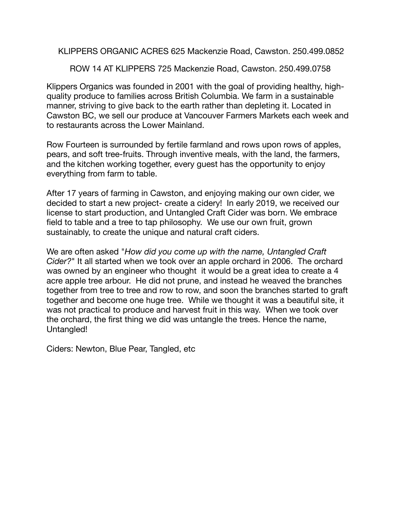KLIPPERS ORGANIC ACRES 625 Mackenzie Road, Cawston. 250.499.0852

ROW 14 AT KLIPPERS 725 Mackenzie Road, Cawston. 250.499.0758

Klippers Organics was founded in 2001 with the goal of providing healthy, highquality produce to families across British Columbia. We farm in a sustainable manner, striving to give back to the earth rather than depleting it. Located in Cawston BC, we sell our produce at Vancouver Farmers Markets each week and to restaurants across the Lower Mainland.

Row Fourteen is surrounded by fertile farmland and rows upon rows of apples, pears, and soft tree-fruits. Through inventive meals, with the land, the farmers, and the kitchen working together, every guest has the opportunity to enjoy everything from farm to table.

After 17 years of farming in Cawston, and enjoying making our own cider, we decided to start a new project- create a cidery! In early 2019, we received our license to start production, and Untangled Craft Cider was born. We embrace field to table and a tree to tap philosophy. We use our own fruit, grown sustainably, to create the unique and natural craft ciders.

We are often asked "*How did you come up with the name, Untangled Craft Cider?*" It all started when we took over an apple orchard in 2006. The orchard was owned by an engineer who thought it would be a great idea to create a 4 acre apple tree arbour. He did not prune, and instead he weaved the branches together from tree to tree and row to row, and soon the branches started to graft together and become one huge tree. While we thought it was a beautiful site, it was not practical to produce and harvest fruit in this way. When we took over the orchard, the first thing we did was untangle the trees. Hence the name, Untangled!

Ciders: Newton, Blue Pear, Tangled, etc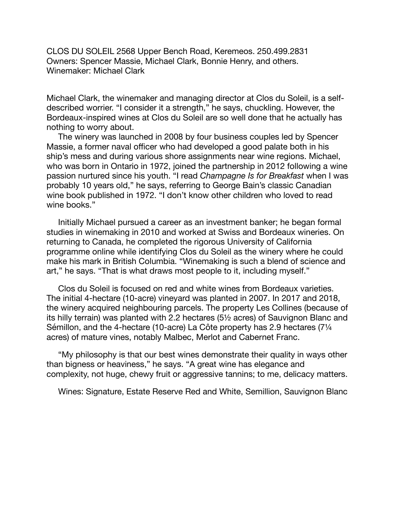CLOS DU SOLEIL 2568 Upper Bench Road, Keremeos. 250.499.2831 Owners: Spencer Massie, Michael Clark, Bonnie Henry, and others. Winemaker: Michael Clark

Michael Clark, the winemaker and managing director at Clos du Soleil, is a selfdescribed worrier. "I consider it a strength," he says, chuckling. However, the Bordeaux-inspired wines at Clos du Soleil are so well done that he actually has nothing to worry about.

The winery was launched in 2008 by four business couples led by Spencer Massie, a former naval officer who had developed a good palate both in his ship's mess and during various shore assignments near wine regions. Michael, who was born in Ontario in 1972, joined the partnership in 2012 following a wine passion nurtured since his youth. "I read *Champagne Is for Breakfast* when I was probably 10 years old," he says, referring to George Bain's classic Canadian wine book published in 1972. "I don't know other children who loved to read wine books."

Initially Michael pursued a career as an investment banker; he began formal studies in winemaking in 2010 and worked at Swiss and Bordeaux wineries. On returning to Canada, he completed the rigorous University of California programme online while identifying Clos du Soleil as the winery where he could make his mark in British Columbia. "Winemaking is such a blend of science and art," he says. "That is what draws most people to it, including myself."

Clos du Soleil is focused on red and white wines from Bordeaux varieties. The initial 4-hectare (10-acre) vineyard was planted in 2007. In 2017 and 2018, the winery acquired neighbouring parcels. The property Les Collines (because of its hilly terrain) was planted with 2.2 hectares (5½ acres) of Sauvignon Blanc and Sémillon, and the 4-hectare (10-acre) La Côte property has 2.9 hectares (7¼ acres) of mature vines, notably Malbec, Merlot and Cabernet Franc.

"My philosophy is that our best wines demonstrate their quality in ways other than bigness or heaviness," he says. "A great wine has elegance and complexity, not huge, chewy fruit or aggressive tannins; to me, delicacy matters.

Wines: Signature, Estate Reserve Red and White, Semillion, Sauvignon Blanc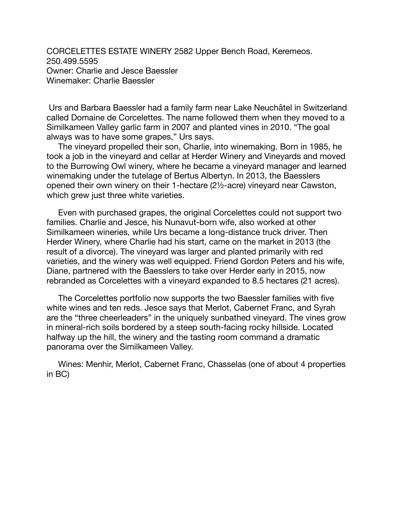CORCELETTES ESTATE WINERY 2582 Upper Bench Road, Keremeos. 250.499.5595 Owner: Charlie and Jesce Baessler Winemaker: Charlie Baessler

 Urs and Barbara Baessler had a family farm near Lake Neuchâtel in Switzerland called Domaine de Corcelettes. The name followed them when they moved to a Similkameen Valley garlic farm in 2007 and planted vines in 2010. "The goal always was to have some grapes," Urs says.

The vineyard propelled their son, Charlie, into winemaking. Born in 1985, he took a job in the vineyard and cellar at Herder Winery and Vineyards and moved to the Burrowing Owl winery, where he became a vineyard manager and learned winemaking under the tutelage of Bertus Albertyn. In 2013, the Baesslers opened their own winery on their 1-hectare (2½-acre) vineyard near Cawston, which grew just three white varieties.

Even with purchased grapes, the original Corcelettes could not support two families. Charlie and Jesce, his Nunavut-born wife, also worked at other Similkameen wineries, while Urs became a long-distance truck driver. Then Herder Winery, where Charlie had his start, came on the market in 2013 (the result of a divorce). The vineyard was larger and planted primarily with red varieties, and the winery was well equipped. Friend Gordon Peters and his wife, Diane, partnered with the Baesslers to take over Herder early in 2015, now rebranded as Corcelettes with a vineyard expanded to 8.5 hectares (21 acres).

The Corcelettes portfolio now supports the two Baessler families with five white wines and ten reds. Jesce says that Merlot, Cabernet Franc, and Syrah are the "three cheerleaders" in the uniquely sunbathed vineyard. The vines grow in mineral-rich soils bordered by a steep south-facing rocky hillside. Located halfway up the hill, the winery and the tasting room command a dramatic panorama over the Similkameen Valley.

Wines: Menhir, Merlot, Cabernet Franc, Chasselas (one of about 4 properties in BC)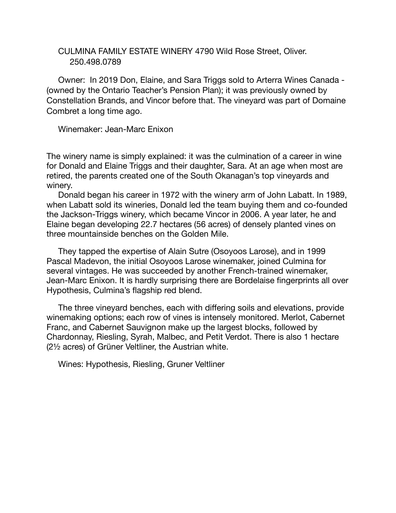## CULMINA FAMILY ESTATE WINERY 4790 Wild Rose Street, Oliver. 250.498.0789

Owner: In 2019 Don, Elaine, and Sara Triggs sold to Arterra Wines Canada - (owned by the Ontario Teacher's Pension Plan); it was previously owned by Constellation Brands, and Vincor before that. The vineyard was part of Domaine Combret a long time ago.

Winemaker: Jean-Marc Enixon

The winery name is simply explained: it was the culmination of a career in wine for Donald and Elaine Triggs and their daughter, Sara. At an age when most are retired, the parents created one of the South Okanagan's top vineyards and winery.

Donald began his career in 1972 with the winery arm of John Labatt. In 1989, when Labatt sold its wineries, Donald led the team buying them and co-founded the Jackson-Triggs winery, which became Vincor in 2006. A year later, he and Elaine began developing 22.7 hectares (56 acres) of densely planted vines on three mountainside benches on the Golden Mile.

They tapped the expertise of Alain Sutre (Osoyoos Larose), and in 1999 Pascal Madevon, the initial Osoyoos Larose winemaker, joined Culmina for several vintages. He was succeeded by another French-trained winemaker, Jean-Marc Enixon. It is hardly surprising there are Bordelaise fingerprints all over Hypothesis, Culmina's flagship red blend.

The three vineyard benches, each with differing soils and elevations, provide winemaking options; each row of vines is intensely monitored. Merlot, Cabernet Franc, and Cabernet Sauvignon make up the largest blocks, followed by Chardonnay, Riesling, Syrah, Malbec, and Petit Verdot. There is also 1 hectare (2½ acres) of Grüner Veltliner, the Austrian white.

Wines: Hypothesis, Riesling, Gruner Veltliner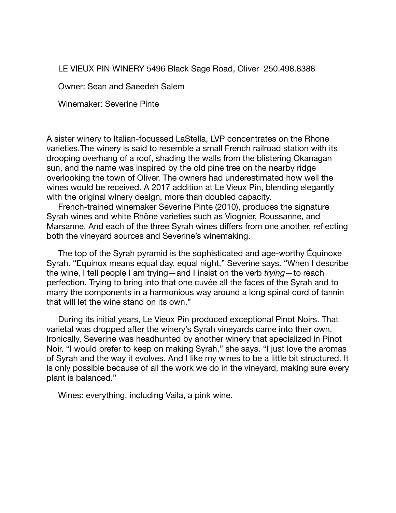LE VIEUX PIN WINERY 5496 Black Sage Road, Oliver 250.498.8388

Owner: Sean and Saeedeh Salem

Winemaker: Severine Pinte

A sister winery to Italian-focussed LaStella, LVP concentrates on the Rhone varieties.The winery is said to resemble a small French railroad station with its drooping overhang of a roof, shading the walls from the blistering Okanagan sun, and the name was inspired by the old pine tree on the nearby ridge overlooking the town of Oliver. The owners had underestimated how well the wines would be received. A 2017 addition at Le Vieux Pin, blending elegantly with the original winery design, more than doubled capacity.

French-trained winemaker Severine Pinte (2010), produces the signature Syrah wines and white Rhône varieties such as Viognier, Roussanne, and Marsanne. And each of the three Syrah wines differs from one another, reflecting both the vineyard sources and Severine's winemaking.

The top of the Syrah pyramid is the sophisticated and age-worthy Équinoxe Syrah. "Equinox means equal day, equal night," Severine says. "When I describe the wine, I tell people I am trying—and I insist on the verb *trying*—to reach perfection. Trying to bring into that one cuvée all the faces of the Syrah and to marry the components in a harmonious way around a long spinal cord of tannin that will let the wine stand on its own."

During its initial years, Le Vieux Pin produced exceptional Pinot Noirs. That varietal was dropped after the winery's Syrah vineyards came into their own. Ironically, Severine was headhunted by another winery that specialized in Pinot Noir. "I would prefer to keep on making Syrah," she says. "I just love the aromas of Syrah and the way it evolves. And I like my wines to be a little bit structured. It is only possible because of all the work we do in the vineyard, making sure every plant is balanced."

Wines: everything, including Vaila, a pink wine.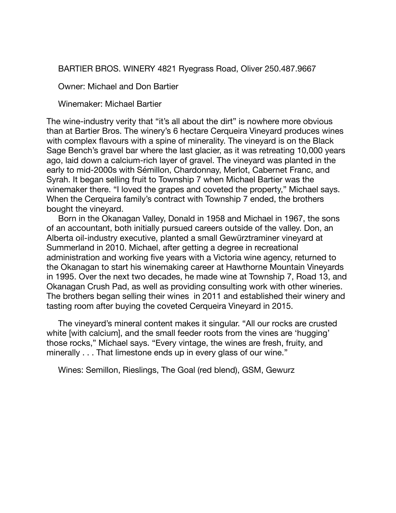BARTIER BROS. WINERY 4821 Ryegrass Road, Oliver 250.487.9667

Owner: Michael and Don Bartier

Winemaker: Michael Bartier

The wine-industry verity that "it's all about the dirt" is nowhere more obvious than at Bartier Bros. The winery's 6 hectare Cerqueira Vineyard produces wines with complex flavours with a spine of minerality. The vineyard is on the Black Sage Bench's gravel bar where the last glacier, as it was retreating 10,000 years ago, laid down a calcium-rich layer of gravel. The vineyard was planted in the early to mid-2000s with Sémillon, Chardonnay, Merlot, Cabernet Franc, and Syrah. It began selling fruit to Township 7 when Michael Bartier was the winemaker there. "I loved the grapes and coveted the property," Michael says. When the Cerqueira family's contract with Township 7 ended, the brothers bought the vineyard.

Born in the Okanagan Valley, Donald in 1958 and Michael in 1967, the sons of an accountant, both initially pursued careers outside of the valley. Don, an Alberta oil-industry executive, planted a small Gewürztraminer vineyard at Summerland in 2010. Michael, after getting a degree in recreational administration and working five years with a Victoria wine agency, returned to the Okanagan to start his winemaking career at Hawthorne Mountain Vineyards in 1995. Over the next two decades, he made wine at Township 7, Road 13, and Okanagan Crush Pad, as well as providing consulting work with other wineries. The brothers began selling their wines in 2011 and established their winery and tasting room after buying the coveted Cerqueira Vineyard in 2015.

The vineyard's mineral content makes it singular. "All our rocks are crusted white [with calcium], and the small feeder roots from the vines are 'hugging' those rocks," Michael says. "Every vintage, the wines are fresh, fruity, and minerally . . . That limestone ends up in every glass of our wine."

Wines: Semillon, Rieslings, The Goal (red blend), GSM, Gewurz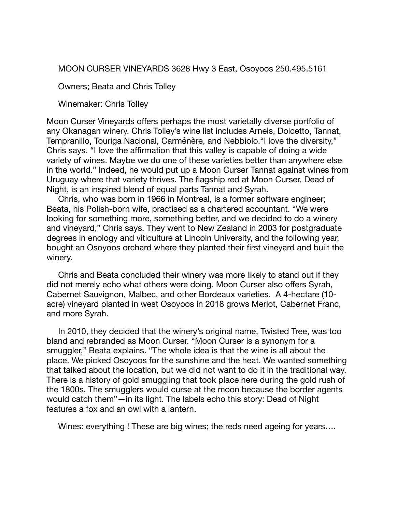MOON CURSER VINEYARDS 3628 Hwy 3 East, Osoyoos 250.495.5161

Owners; Beata and Chris Tolley

Winemaker: Chris Tolley

Moon Curser Vineyards offers perhaps the most varietally diverse portfolio of any Okanagan winery. Chris Tolley's wine list includes Arneis, Dolcetto, Tannat, Tempranillo, Touriga Nacional, Carménère, and Nebbiolo."I love the diversity," Chris says. "I love the affirmation that this valley is capable of doing a wide variety of wines. Maybe we do one of these varieties better than anywhere else in the world." Indeed, he would put up a Moon Curser Tannat against wines from Uruguay where that variety thrives. The flagship red at Moon Curser, Dead of Night, is an inspired blend of equal parts Tannat and Syrah.

Chris, who was born in 1966 in Montreal, is a former software engineer; Beata, his Polish-born wife, practised as a chartered accountant. "We were looking for something more, something better, and we decided to do a winery and vineyard," Chris says. They went to New Zealand in 2003 for postgraduate degrees in enology and viticulture at Lincoln University, and the following year, bought an Osoyoos orchard where they planted their first vineyard and built the winery.

Chris and Beata concluded their winery was more likely to stand out if they did not merely echo what others were doing. Moon Curser also offers Syrah, Cabernet Sauvignon, Malbec, and other Bordeaux varieties. A 4-hectare (10 acre) vineyard planted in west Osoyoos in 2018 grows Merlot, Cabernet Franc, and more Syrah.

In 2010, they decided that the winery's original name, Twisted Tree, was too bland and rebranded as Moon Curser. "Moon Curser is a synonym for a smuggler," Beata explains. "The whole idea is that the wine is all about the place. We picked Osoyoos for the sunshine and the heat. We wanted something that talked about the location, but we did not want to do it in the traditional way. There is a history of gold smuggling that took place here during the gold rush of the 1800s. The smugglers would curse at the moon because the border agents would catch them"—in its light. The labels echo this story: Dead of Night features a fox and an owl with a lantern.

Wines: everything ! These are big wines; the reds need ageing for years….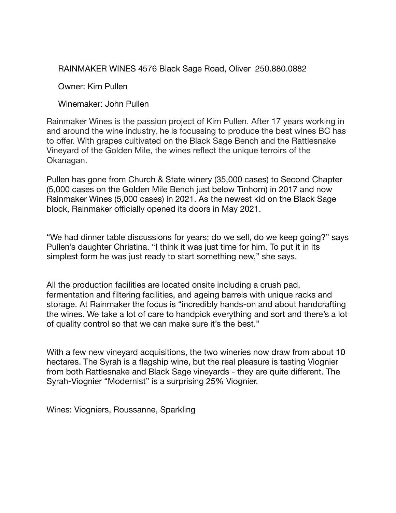RAINMAKER WINES 4576 Black Sage Road, Oliver 250.880.0882

Owner: Kim Pullen

Winemaker: John Pullen

Rainmaker Wines is the passion project of Kim Pullen. After 17 years working in and around the wine industry, he is focussing to produce the best wines BC has to offer. With grapes cultivated on the Black Sage Bench and the Rattlesnake Vineyard of the Golden Mile, the wines reflect the unique terroirs of the Okanagan.

Pullen has gone from Church & State winery (35,000 cases) to Second Chapter (5,000 cases on the Golden Mile Bench just below Tinhorn) in 2017 and now Rainmaker Wines (5,000 cases) in 2021. As the newest kid on the Black Sage block, Rainmaker officially opened its doors in May 2021.

"We had dinner table discussions for years; do we sell, do we keep going?" says Pullen's daughter Christina. "I think it was just time for him. To put it in its simplest form he was just ready to start something new," she says.

All the production facilities are located onsite including a crush pad, fermentation and filtering facilities, and ageing barrels with unique racks and storage. At Rainmaker the focus is "incredibly hands-on and about handcrafting the wines. We take a lot of care to handpick everything and sort and there's a lot of quality control so that we can make sure it's the best."

With a few new vineyard acquisitions, the two wineries now draw from about 10 hectares. The Syrah is a flagship wine, but the real pleasure is tasting Viognier from both Rattlesnake and Black Sage vineyards - they are quite different. The Syrah-Viognier "Modernist" is a surprising 25% Viognier.

Wines: Viogniers, Roussanne, Sparkling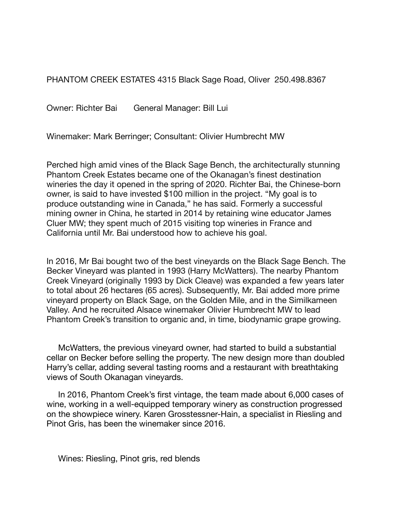PHANTOM CREEK ESTATES 4315 Black Sage Road, Oliver 250.498.8367

Owner: Richter Bai General Manager: Bill Lui

Winemaker: Mark Berringer; Consultant: Olivier Humbrecht MW

Perched high amid vines of the Black Sage Bench, the architecturally stunning Phantom Creek Estates became one of the Okanagan's finest destination wineries the day it opened in the spring of 2020. Richter Bai, the Chinese-born owner, is said to have invested \$100 million in the project. "My goal is to produce outstanding wine in Canada," he has said. Formerly a successful mining owner in China, he started in 2014 by retaining wine educator James Cluer MW; they spent much of 2015 visiting top wineries in France and California until Mr. Bai understood how to achieve his goal.

In 2016, Mr Bai bought two of the best vineyards on the Black Sage Bench. The Becker Vineyard was planted in 1993 (Harry McWatters). The nearby Phantom Creek Vineyard (originally 1993 by Dick Cleave) was expanded a few years later to total about 26 hectares (65 acres). Subsequently, Mr. Bai added more prime vineyard property on Black Sage, on the Golden Mile, and in the Similkameen Valley. And he recruited Alsace winemaker Olivier Humbrecht MW to lead Phantom Creek's transition to organic and, in time, biodynamic grape growing.

McWatters, the previous vineyard owner, had started to build a substantial cellar on Becker before selling the property. The new design more than doubled Harry's cellar, adding several tasting rooms and a restaurant with breathtaking views of South Okanagan vineyards.

In 2016, Phantom Creek's first vintage, the team made about 6,000 cases of wine, working in a well-equipped temporary winery as construction progressed on the showpiece winery. Karen Grosstessner-Hain, a specialist in Riesling and Pinot Gris, has been the winemaker since 2016.

Wines: Riesling, Pinot gris, red blends